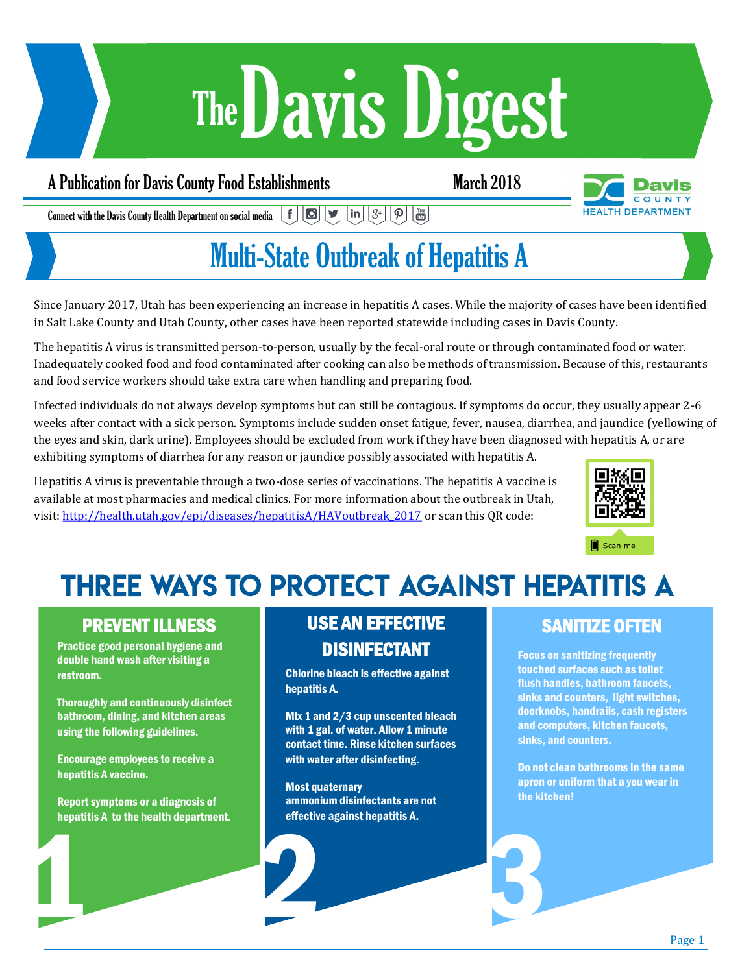# Davis Digest The

### A Publication for Davis County Food Establishments March 2018



 $\vert \mathbf{f} \vert \vert \mathbf{E} \vert \vert \mathbf{y} \vert \vert \ln \vert \vert \mathbf{S}^{\mathbf{t}} \vert$  $\left[\bm{\mathsf{p}}\right]\left[\begin{smallmatrix}\mathsf{v}_{\mathsf{m}}\ \mathsf{m}\end{smallmatrix}\right]$ Connect with the Davis County Health Department on social media

## Multi-State Outbreak of Hepatitis A

Since January 2017, Utah has been experiencing an increase in hepatitis A cases. While the majority of cases have been identified in Salt Lake County and Utah County, other cases have been reported statewide including cases in Davis County.

The hepatitis A virus is transmitted person-to-person, usually by the fecal-oral route or through contaminated food or water. Inadequately cooked food and food contaminated after cooking can also be methods of transmission. Because of this, restaurants and food service workers should take extra care when handling and preparing food.

Infected individuals do not always develop symptoms but can still be contagious. If symptoms do occur, they usually appear 2-6 weeks after contact with a sick person. Symptoms include sudden onset fatigue, fever, nausea, diarrhea, and jaundice (yellowing of the eyes and skin, dark urine). Employees should be excluded from work if they have been diagnosed with hepatitis A, or are exhibiting symptoms of diarrhea for any reason or jaundice possibly associated with hepatitis A.

Hepatitis A virus is preventable through a two-dose series of vaccinations. The hepatitis A vaccine is available at most pharmacies and medical clinics. For more information about the outbreak in Utah, visit: [http://health.utah.gov/epi/diseases/hepatitisA/HAVoutbreak\\_2017](http://health.utah.gov/epi/diseases/hepatitisA/HAVoutbreak_2017) or scan this QR code:



## **THREE WAYS TO PROTECT AGAINST HEPATITIS A**

### PREVENT ILLNESS

Practice good personal hygiene and double hand wash after visiting a restroom.

Thoroughly and continuously disinfect bathroom, dining, and kitchen areas using the following guidelines.

Encourage employees to receive a hepatitis A vaccine.

Enective against nepatitis A. Report symptoms or a diagnosis of hepatitis A to the health department.

### USE AN EFFECTIVE DISINFECTANT

Chlorine bleach is effective against hepatitis A.

Mix 1 and 2/3 cup unscented bleach with 1 gal. of water. Allow 1 minute contact time. Rinse kitchen surfaces with water after disinfecting.

Most quaternary ammonium disinfectants are not effective against hepatitis A.

### SANITIZE OFTEN

Focus on sanitizing frequently touched surfaces such as toilet flush handles, bathroom faucets, sinks and counters, light switches, doorknobs, handrails, cash registers and computers, kitchen faucets, sinks, and counters.

Do not clean bathrooms in the same apron or uniform that a you wear in the kitchen!